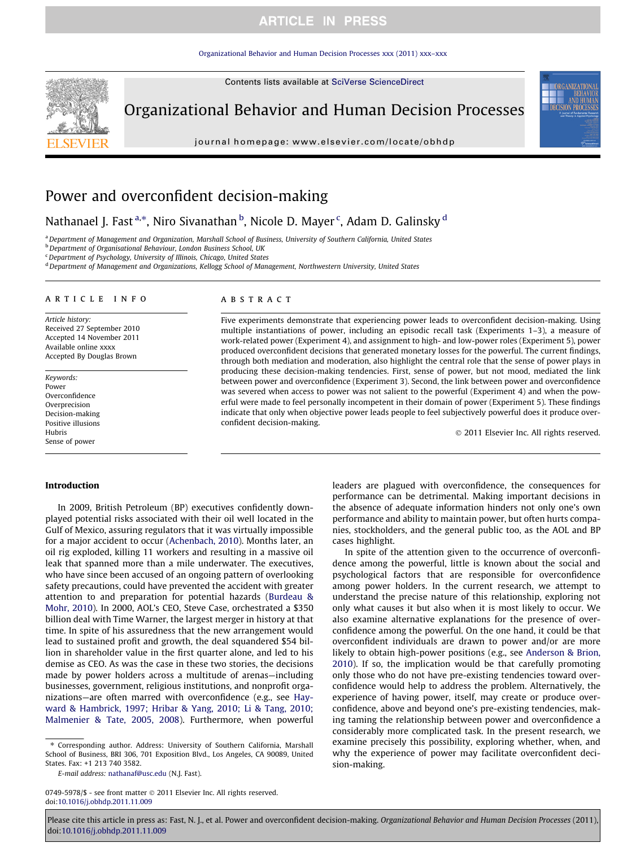# **ARTICLE IN PRESS**

## [Organizational Behavior and Human Decision Processes xxx \(2011\) xxx–xxx](http://dx.doi.org/10.1016/j.obhdp.2011.11.009)

Contents lists available at [SciVerse ScienceDirect](http://www.sciencedirect.com/science/journal/07495978)



Organizational Behavior and Human Decision Processes

journal homepage: [www.elsevier.com/locate/obhdp](http://www.elsevier.com/locate/obhdp)



# Power and overconfident decision-making

Nathanael J. Fast<sup>a,</sup>\*, Niro Sivanathan <sup>b</sup>, Nicole D. Mayer <sup>c</sup>, Adam D. Galinsky <sup>d</sup>

a Department of Management and Organization, Marshall School of Business, University of Southern California, United States

b Department of Organisational Behaviour, London Business School, UK

 $\epsilon$  Department of Psychology, University of Illinois, Chicago, United States

<sup>d</sup> Department of Management and Organizations, Kellogg School of Management, Northwestern University, United States

# article info

Article history: Received 27 September 2010 Accepted 14 November 2011 Available online xxxx Accepted By Douglas Brown

Keywords: Power Overconfidence Overprecision Decision-making Positive illusions Hubris Sense of power

#### ABSTRACT

Five experiments demonstrate that experiencing power leads to overconfident decision-making. Using multiple instantiations of power, including an episodic recall task (Experiments 1–3), a measure of work-related power (Experiment 4), and assignment to high- and low-power roles (Experiment 5), power produced overconfident decisions that generated monetary losses for the powerful. The current findings, through both mediation and moderation, also highlight the central role that the sense of power plays in producing these decision-making tendencies. First, sense of power, but not mood, mediated the link between power and overconfidence (Experiment 3). Second, the link between power and overconfidence was severed when access to power was not salient to the powerful (Experiment 4) and when the powerful were made to feel personally incompetent in their domain of power (Experiment 5). These findings indicate that only when objective power leads people to feel subjectively powerful does it produce overconfident decision-making.

- 2011 Elsevier Inc. All rights reserved.

## Introduction

In 2009, British Petroleum (BP) executives confidently downplayed potential risks associated with their oil well located in the Gulf of Mexico, assuring regulators that it was virtually impossible for a major accident to occur ([Achenbach, 2010](#page-10-0)). Months later, an oil rig exploded, killing 11 workers and resulting in a massive oil leak that spanned more than a mile underwater. The executives, who have since been accused of an ongoing pattern of overlooking safety precautions, could have prevented the accident with greater attention to and preparation for potential hazards ([Burdeau &](#page-10-0) [Mohr, 2010\)](#page-10-0). In 2000, AOL's CEO, Steve Case, orchestrated a \$350 billion deal with Time Warner, the largest merger in history at that time. In spite of his assuredness that the new arrangement would lead to sustained profit and growth, the deal squandered \$54 billion in shareholder value in the first quarter alone, and led to his demise as CEO. As was the case in these two stories, the decisions made by power holders across a multitude of arenas—including businesses, government, religious institutions, and nonprofit organizations—are often marred with overconfidence (e.g., see [Hay](#page-10-0)[ward & Hambrick, 1997; Hribar & Yang, 2010; Li & Tang, 2010;](#page-10-0) [Malmenier & Tate, 2005, 2008](#page-10-0)). Furthermore, when powerful

⇑ Corresponding author. Address: University of Southern California, Marshall School of Business, BRI 306, 701 Exposition Blvd., Los Angeles, CA 90089, United States. Fax: +1 213 740 3582.

0749-5978/\$ - see front matter © 2011 Elsevier Inc. All rights reserved. doi[:10.1016/j.obhdp.2011.11.009](http://dx.doi.org/10.1016/j.obhdp.2011.11.009)

leaders are plagued with overconfidence, the consequences for performance can be detrimental. Making important decisions in the absence of adequate information hinders not only one's own performance and ability to maintain power, but often hurts companies, stockholders, and the general public too, as the AOL and BP cases highlight.

In spite of the attention given to the occurrence of overconfidence among the powerful, little is known about the social and psychological factors that are responsible for overconfidence among power holders. In the current research, we attempt to understand the precise nature of this relationship, exploring not only what causes it but also when it is most likely to occur. We also examine alternative explanations for the presence of overconfidence among the powerful. On the one hand, it could be that overconfident individuals are drawn to power and/or are more likely to obtain high-power positions (e.g., see [Anderson & Brion,](#page-10-0) [2010](#page-10-0)). If so, the implication would be that carefully promoting only those who do not have pre-existing tendencies toward overconfidence would help to address the problem. Alternatively, the experience of having power, itself, may create or produce overconfidence, above and beyond one's pre-existing tendencies, making taming the relationship between power and overconfidence a considerably more complicated task. In the present research, we examine precisely this possibility, exploring whether, when, and why the experience of power may facilitate overconfident decision-making.

E-mail address: [nathanaf@usc.edu](mailto:nathanaf@usc.edu) (N.J. Fast).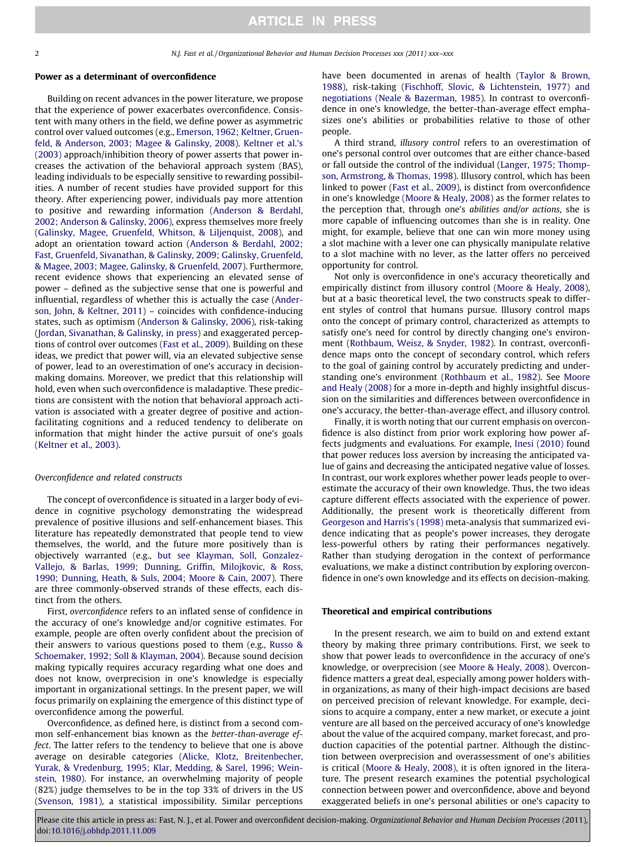# Power as a determinant of overconfidence

Building on recent advances in the power literature, we propose that the experience of power exacerbates overconfidence. Consistent with many others in the field, we define power as asymmetric control over valued outcomes (e.g., [Emerson, 1962; Keltner, Gruen](#page-10-0)[feld, & Anderson, 2003; Magee & Galinsky, 2008](#page-10-0)). [Keltner et al.'s](#page-10-0) [\(2003\)](#page-10-0) approach/inhibition theory of power asserts that power increases the activation of the behavioral approach system (BAS), leading individuals to be especially sensitive to rewarding possibilities. A number of recent studies have provided support for this theory. After experiencing power, individuals pay more attention to positive and rewarding information ([Anderson & Berdahl,](#page-10-0) [2002; Anderson & Galinsky, 2006](#page-10-0)), express themselves more freely ([Galinsky, Magee, Gruenfeld, Whitson, & Liljenquist, 2008\)](#page-10-0), and adopt an orientation toward action ([Anderson & Berdahl, 2002;](#page-10-0) [Fast, Gruenfeld, Sivanathan, & Galinsky, 2009; Galinsky, Gruenfeld,](#page-10-0) [& Magee, 2003; Magee, Galinsky, & Gruenfeld, 2007](#page-10-0)). Furthermore, recent evidence shows that experiencing an elevated sense of power – defined as the subjective sense that one is powerful and influential, regardless of whether this is actually the case ([Ander](#page-10-0)[son, John, & Keltner, 2011\)](#page-10-0) – coincides with confidence-inducing states, such as optimism [\(Anderson & Galinsky, 2006](#page-10-0)), risk-taking ([Jordan, Sivanathan, & Galinsky, in press\)](#page-10-0) and exaggerated perceptions of control over outcomes ([Fast et al., 2009](#page-10-0)). Building on these ideas, we predict that power will, via an elevated subjective sense of power, lead to an overestimation of one's accuracy in decisionmaking domains. Moreover, we predict that this relationship will hold, even when such overconfidence is maladaptive. These predictions are consistent with the notion that behavioral approach activation is associated with a greater degree of positive and actionfacilitating cognitions and a reduced tendency to deliberate on information that might hinder the active pursuit of one's goals ([Keltner et al., 2003](#page-10-0)).

## Overconfidence and related constructs

The concept of overconfidence is situated in a larger body of evidence in cognitive psychology demonstrating the widespread prevalence of positive illusions and self-enhancement biases. This literature has repeatedly demonstrated that people tend to view themselves, the world, and the future more positively than is objectively warranted (e.g., [but see Klayman, Soll, Gonzalez-](#page-10-0)[Vallejo, & Barlas, 1999; Dunning, Griffin, Milojkovic, & Ross,](#page-10-0) [1990; Dunning, Heath, & Suls, 2004; Moore & Cain, 2007](#page-10-0)). There are three commonly-observed strands of these effects, each distinct from the others.

First, overconfidence refers to an inflated sense of confidence in the accuracy of one's knowledge and/or cognitive estimates. For example, people are often overly confident about the precision of their answers to various questions posed to them (e.g., [Russo &](#page-11-0) [Schoemaker, 1992; Soll & Klayman, 2004\)](#page-11-0). Because sound decision making typically requires accuracy regarding what one does and does not know, overprecision in one's knowledge is especially important in organizational settings. In the present paper, we will focus primarily on explaining the emergence of this distinct type of overconfidence among the powerful.

Overconfidence, as defined here, is distinct from a second common self-enhancement bias known as the better-than-average effect. The latter refers to the tendency to believe that one is above average on desirable categories ([Alicke, Klotz, Breitenbecher,](#page-10-0) [Yurak, & Vredenburg, 1995; Klar, Medding, & Sarel, 1996; Wein](#page-10-0)[stein, 1980](#page-10-0)). For instance, an overwhelming majority of people (82%) judge themselves to be in the top 33% of drivers in the US ([Svenson, 1981\)](#page-11-0), a statistical impossibility. Similar perceptions have been documented in arenas of health ([Taylor & Brown,](#page-11-0) [1988\)](#page-11-0), risk-taking [\(Fischhoff, Slovic, & Lichtenstein, 1977\) and](#page-10-0) [negotiations \(Neale & Bazerman, 1985](#page-11-0)). In contrast to overconfidence in one's knowledge, the better-than-average effect emphasizes one's abilities or probabilities relative to those of other people.

A third strand, illusory control refers to an overestimation of one's personal control over outcomes that are either chance-based or fall outside the control of the individual ([Langer, 1975; Thomp](#page-10-0)[son, Armstrong, & Thomas, 1998\)](#page-10-0). Illusory control, which has been linked to power ([Fast et al., 2009](#page-10-0)), is distinct from overconfidence in one's knowledge ([Moore & Healy, 2008](#page-10-0)) as the former relates to the perception that, through one's abilities and/or actions, she is more capable of influencing outcomes than she is in reality. One might, for example, believe that one can win more money using a slot machine with a lever one can physically manipulate relative to a slot machine with no lever, as the latter offers no perceived opportunity for control.

Not only is overconfidence in one's accuracy theoretically and empirically distinct from illusory control ([Moore & Healy, 2008\)](#page-10-0), but at a basic theoretical level, the two constructs speak to different styles of control that humans pursue. Illusory control maps onto the concept of primary control, characterized as attempts to satisfy one's need for control by directly changing one's environment ([Rothbaum, Weisz, & Snyder, 1982](#page-11-0)). In contrast, overconfidence maps onto the concept of secondary control, which refers to the goal of gaining control by accurately predicting and understanding one's environment [\(Rothbaum et al., 1982](#page-11-0)). See [Moore](#page-10-0) [and Healy \(2008\)](#page-10-0) for a more in-depth and highly insightful discussion on the similarities and differences between overconfidence in one's accuracy, the better-than-average effect, and illusory control.

Finally, it is worth noting that our current emphasis on overconfidence is also distinct from prior work exploring how power affects judgments and evaluations. For example, [Inesi \(2010\)](#page-10-0) found that power reduces loss aversion by increasing the anticipated value of gains and decreasing the anticipated negative value of losses. In contrast, our work explores whether power leads people to overestimate the accuracy of their own knowledge. Thus, the two ideas capture different effects associated with the experience of power. Additionally, the present work is theoretically different from [Georgeson and Harris's \(1998\)](#page-10-0) meta-analysis that summarized evidence indicating that as people's power increases, they derogate less-powerful others by rating their performances negatively. Rather than studying derogation in the context of performance evaluations, we make a distinct contribution by exploring overconfidence in one's own knowledge and its effects on decision-making.

## Theoretical and empirical contributions

In the present research, we aim to build on and extend extant theory by making three primary contributions. First, we seek to show that power leads to overconfidence in the accuracy of one's knowledge, or overprecision (see [Moore & Healy, 2008](#page-10-0)). Overconfidence matters a great deal, especially among power holders within organizations, as many of their high-impact decisions are based on perceived precision of relevant knowledge. For example, decisions to acquire a company, enter a new market, or execute a joint venture are all based on the perceived accuracy of one's knowledge about the value of the acquired company, market forecast, and production capacities of the potential partner. Although the distinction between overprecision and overassessment of one's abilities is critical ([Moore & Healy, 2008](#page-10-0)), it is often ignored in the literature. The present research examines the potential psychological connection between power and overconfidence, above and beyond exaggerated beliefs in one's personal abilities or one's capacity to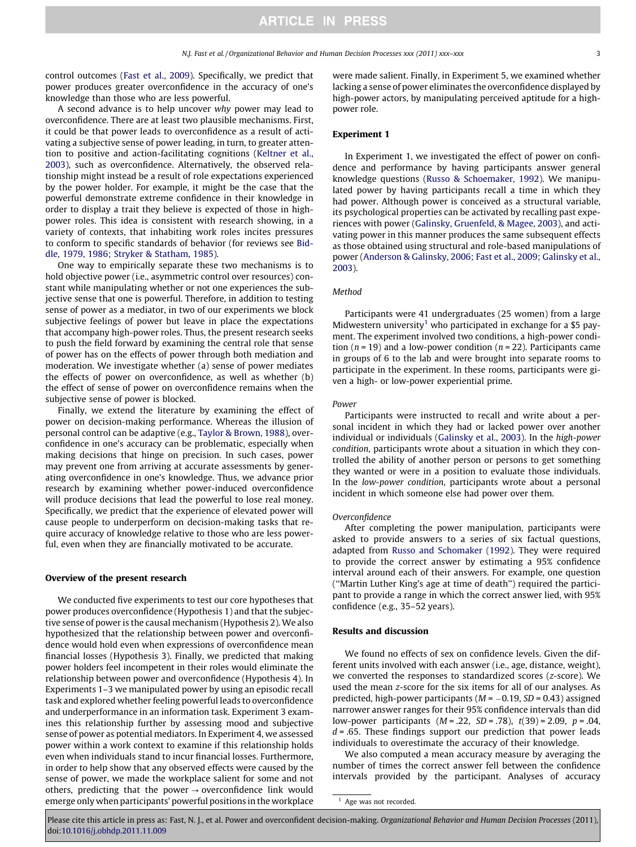control outcomes ([Fast et al., 2009\)](#page-10-0). Specifically, we predict that power produces greater overconfidence in the accuracy of one's knowledge than those who are less powerful.

A second advance is to help uncover why power may lead to overconfidence. There are at least two plausible mechanisms. First, it could be that power leads to overconfidence as a result of activating a subjective sense of power leading, in turn, to greater attention to positive and action-facilitating cognitions ([Keltner et al.,](#page-10-0) [2003](#page-10-0)), such as overconfidence. Alternatively, the observed relationship might instead be a result of role expectations experienced by the power holder. For example, it might be the case that the powerful demonstrate extreme confidence in their knowledge in order to display a trait they believe is expected of those in highpower roles. This idea is consistent with research showing, in a variety of contexts, that inhabiting work roles incites pressures to conform to specific standards of behavior (for reviews see [Bid](#page-10-0)[dle, 1979, 1986; Stryker & Statham, 1985](#page-10-0)).

One way to empirically separate these two mechanisms is to hold objective power (i.e., asymmetric control over resources) constant while manipulating whether or not one experiences the subjective sense that one is powerful. Therefore, in addition to testing sense of power as a mediator, in two of our experiments we block subjective feelings of power but leave in place the expectations that accompany high-power roles. Thus, the present research seeks to push the field forward by examining the central role that sense of power has on the effects of power through both mediation and moderation. We investigate whether (a) sense of power mediates the effects of power on overconfidence, as well as whether (b) the effect of sense of power on overconfidence remains when the subjective sense of power is blocked.

Finally, we extend the literature by examining the effect of power on decision-making performance. Whereas the illusion of personal control can be adaptive (e.g., [Taylor & Brown, 1988\)](#page-11-0), overconfidence in one's accuracy can be problematic, especially when making decisions that hinge on precision. In such cases, power may prevent one from arriving at accurate assessments by generating overconfidence in one's knowledge. Thus, we advance prior research by examining whether power-induced overconfidence will produce decisions that lead the powerful to lose real money. Specifically, we predict that the experience of elevated power will cause people to underperform on decision-making tasks that require accuracy of knowledge relative to those who are less powerful, even when they are financially motivated to be accurate.

#### Overview of the present research

We conducted five experiments to test our core hypotheses that power produces overconfidence (Hypothesis 1) and that the subjective sense of power is the causal mechanism (Hypothesis 2). We also hypothesized that the relationship between power and overconfidence would hold even when expressions of overconfidence mean financial losses (Hypothesis 3). Finally, we predicted that making power holders feel incompetent in their roles would eliminate the relationship between power and overconfidence (Hypothesis 4). In Experiments 1–3 we manipulated power by using an episodic recall task and explored whether feeling powerful leads to overconfidence and underperformance in an information task. Experiment 3 examines this relationship further by assessing mood and subjective sense of power as potential mediators. In Experiment 4, we assessed power within a work context to examine if this relationship holds even when individuals stand to incur financial losses. Furthermore, in order to help show that any observed effects were caused by the sense of power, we made the workplace salient for some and not others, predicting that the power  $\rightarrow$  overconfidence link would emerge only when participants' powerful positions in the workplace were made salient. Finally, in Experiment 5, we examined whether lacking a sense of power eliminates the overconfidence displayed by high-power actors, by manipulating perceived aptitude for a highpower role.

#### Experiment 1

In Experiment 1, we investigated the effect of power on confidence and performance by having participants answer general knowledge questions ([Russo & Schoemaker, 1992](#page-11-0)). We manipulated power by having participants recall a time in which they had power. Although power is conceived as a structural variable, its psychological properties can be activated by recalling past experiences with power [\(Galinsky, Gruenfeld, & Magee, 2003](#page-10-0)), and activating power in this manner produces the same subsequent effects as those obtained using structural and role-based manipulations of power [\(Anderson & Galinsky, 2006; Fast et al., 2009; Galinsky et al.,](#page-10-0) [2003](#page-10-0)).

## Method

Participants were 41 undergraduates (25 women) from a large Midwestern university<sup>1</sup> who participated in exchange for a \$5 payment. The experiment involved two conditions, a high-power condition ( $n = 19$ ) and a low-power condition ( $n = 22$ ). Participants came in groups of 6 to the lab and were brought into separate rooms to participate in the experiment. In these rooms, participants were given a high- or low-power experiential prime.

#### Power

Participants were instructed to recall and write about a personal incident in which they had or lacked power over another individual or individuals ([Galinsky et al., 2003](#page-10-0)). In the high-power condition, participants wrote about a situation in which they controlled the ability of another person or persons to get something they wanted or were in a position to evaluate those individuals. In the low-power condition, participants wrote about a personal incident in which someone else had power over them.

#### Overconfidence

After completing the power manipulation, participants were asked to provide answers to a series of six factual questions, adapted from [Russo and Schomaker \(1992\).](#page-11-0) They were required to provide the correct answer by estimating a 95% confidence interval around each of their answers. For example, one question (''Martin Luther King's age at time of death'') required the participant to provide a range in which the correct answer lied, with 95% confidence (e.g., 35–52 years).

#### Results and discussion

We found no effects of sex on confidence levels. Given the different units involved with each answer (i.e., age, distance, weight), we converted the responses to standardized scores (z-score). We used the mean z-score for the six items for all of our analyses. As predicted, high-power participants ( $M = -0.19$ , SD = 0.43) assigned narrower answer ranges for their 95% confidence intervals than did low-power participants  $(M = .22, SD = .78)$ ,  $t(39) = 2.09$ ,  $p = .04$ ,  $d = .65$ . These findings support our prediction that power leads individuals to overestimate the accuracy of their knowledge.

We also computed a mean accuracy measure by averaging the number of times the correct answer fell between the confidence intervals provided by the participant. Analyses of accuracy

<sup>1</sup> Age was not recorded.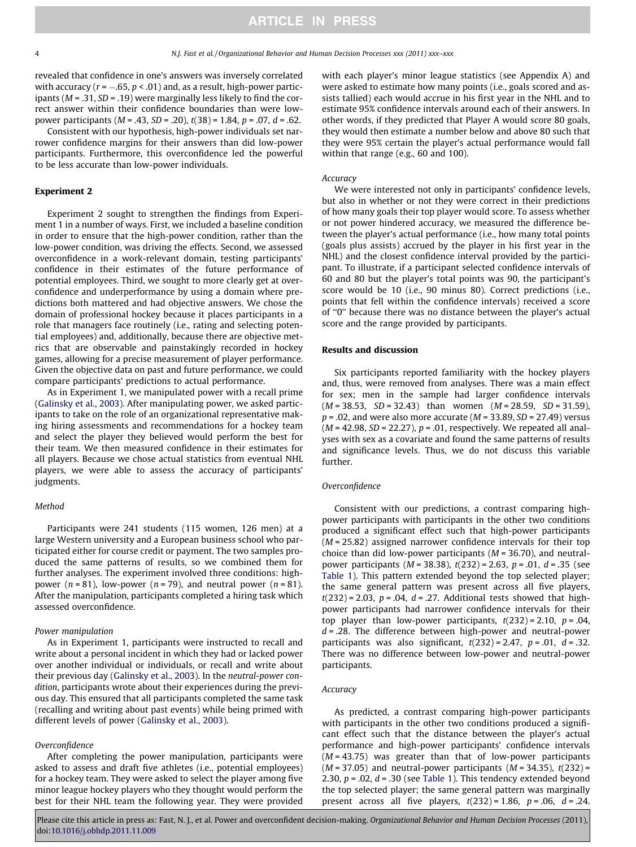revealed that confidence in one's answers was inversely correlated with accuracy ( $r$  = –.65,  $p$  < .01) and, as a result, high-power participants ( $M = .31$ ,  $SD = .19$ ) were marginally less likely to find the correct answer within their confidence boundaries than were lowpower participants ( $M = .43$ ,  $SD = .20$ ),  $t(38) = 1.84$ ,  $p = .07$ ,  $d = .62$ .

Consistent with our hypothesis, high-power individuals set narrower confidence margins for their answers than did low-power participants. Furthermore, this overconfidence led the powerful to be less accurate than low-power individuals.

## Experiment 2

Experiment 2 sought to strengthen the findings from Experiment 1 in a number of ways. First, we included a baseline condition in order to ensure that the high-power condition, rather than the low-power condition, was driving the effects. Second, we assessed overconfidence in a work-relevant domain, testing participants' confidence in their estimates of the future performance of potential employees. Third, we sought to more clearly get at overconfidence and underperformance by using a domain where predictions both mattered and had objective answers. We chose the domain of professional hockey because it places participants in a role that managers face routinely (i.e., rating and selecting potential employees) and, additionally, because there are objective metrics that are observable and painstakingly recorded in hockey games, allowing for a precise measurement of player performance. Given the objective data on past and future performance, we could compare participants' predictions to actual performance.

As in Experiment 1, we manipulated power with a recall prime ([Galinsky et al., 2003\)](#page-10-0). After manipulating power, we asked participants to take on the role of an organizational representative making hiring assessments and recommendations for a hockey team and select the player they believed would perform the best for their team. We then measured confidence in their estimates for all players. Because we chose actual statistics from eventual NHL players, we were able to assess the accuracy of participants' judgments.

## Method

Participants were 241 students (115 women, 126 men) at a large Western university and a European business school who participated either for course credit or payment. The two samples produced the same patterns of results, so we combined them for further analyses. The experiment involved three conditions: highpower ( $n = 81$ ), low-power ( $n = 79$ ), and neutral power ( $n = 81$ ). After the manipulation, participants completed a hiring task which assessed overconfidence.

#### Power manipulation

As in Experiment 1, participants were instructed to recall and write about a personal incident in which they had or lacked power over another individual or individuals, or recall and write about their previous day ([Galinsky et al., 2003](#page-10-0)). In the neutral-power condition, participants wrote about their experiences during the previous day. This ensured that all participants completed the same task (recalling and writing about past events) while being primed with different levels of power ([Galinsky et al., 2003](#page-10-0)).

## Overconfidence

After completing the power manipulation, participants were asked to assess and draft five athletes (i.e., potential employees) for a hockey team. They were asked to select the player among five minor league hockey players who they thought would perform the best for their NHL team the following year. They were provided with each player's minor league statistics (see Appendix A) and were asked to estimate how many points (i.e., goals scored and assists tallied) each would accrue in his first year in the NHL and to estimate 95% confidence intervals around each of their answers. In other words, if they predicted that Player A would score 80 goals, they would then estimate a number below and above 80 such that they were 95% certain the player's actual performance would fall within that range (e.g., 60 and 100).

## **Accuracy**

We were interested not only in participants' confidence levels, but also in whether or not they were correct in their predictions of how many goals their top player would score. To assess whether or not power hindered accuracy, we measured the difference between the player's actual performance (i.e., how many total points (goals plus assists) accrued by the player in his first year in the NHL) and the closest confidence interval provided by the participant. To illustrate, if a participant selected confidence intervals of 60 and 80 but the player's total points was 90, the participant's score would be 10 (i.e., 90 minus 80). Correct predictions (i.e., points that fell within the confidence intervals) received a score of ''0'' because there was no distance between the player's actual score and the range provided by participants.

## Results and discussion

Six participants reported familiarity with the hockey players and, thus, were removed from analyses. There was a main effect for sex; men in the sample had larger confidence intervals  $(M = 38.53, SD = 32.43)$  than women  $(M = 28.59, SD = 31.59)$ ,  $p = 0.02$ , and were also more accurate ( $M = 33.89$ ,  $SD = 27.49$ ) versus  $(M = 42.98, SD = 22.27), p = .01$ , respectively. We repeated all analyses with sex as a covariate and found the same patterns of results and significance levels. Thus, we do not discuss this variable further.

## Overconfidence

Consistent with our predictions, a contrast comparing highpower participants with participants in the other two conditions produced a significant effect such that high-power participants  $(M = 25.82)$  assigned narrower confidence intervals for their top choice than did low-power participants  $(M = 36.70)$ , and neutralpower participants ( $M = 38.38$ ),  $t(232) = 2.63$ ,  $p = .01$ ,  $d = .35$  (see [Table 1](#page-4-0)). This pattern extended beyond the top selected player; the same general pattern was present across all five players,  $t(232) = 2.03$ ,  $p = .04$ ,  $d = .27$ . Additional tests showed that highpower participants had narrower confidence intervals for their top player than low-power participants,  $t(232) = 2.10$ ,  $p = .04$ ,  $d = 0.28$ . The difference between high-power and neutral-power participants was also significant,  $t(232) = 2.47$ ,  $p = .01$ ,  $d = .32$ . There was no difference between low-power and neutral-power participants.

## Accuracy

As predicted, a contrast comparing high-power participants with participants in the other two conditions produced a significant effect such that the distance between the player's actual performance and high-power participants' confidence intervals  $(M = 43.75)$  was greater than that of low-power participants  $(M = 37.05)$  and neutral-power participants  $(M = 34.35)$ ,  $t(232) =$ 2.30,  $p = 0.02$ ,  $d = 0.30$  (see [Table 1](#page-4-0)). This tendency extended beyond the top selected player; the same general pattern was marginally present across all five players,  $t(232) = 1.86$ ,  $p = .06$ ,  $d = .24$ .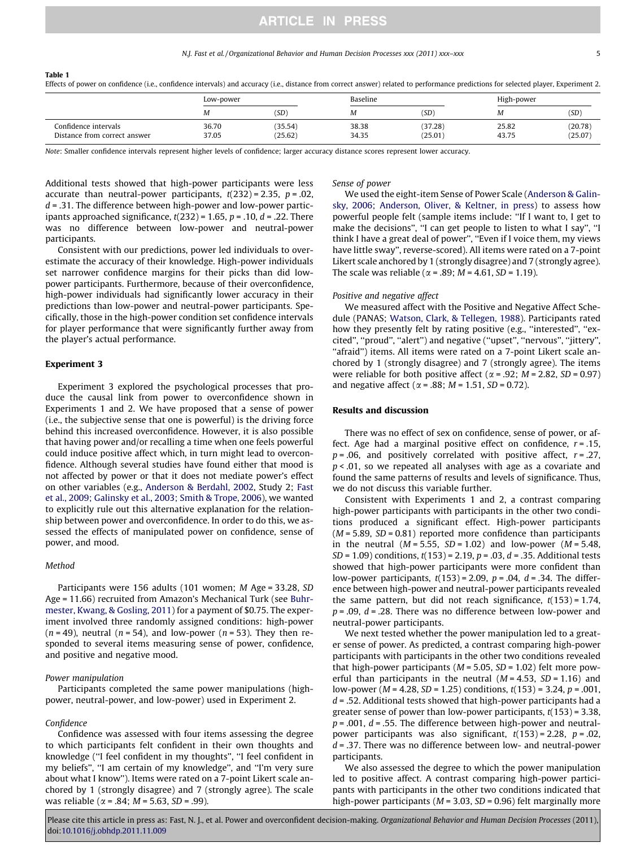# **ARTICLE IN PRESS**

# N.J. Fast et al. / Organizational Behavior and Human Decision Processes xxx (2011) xxx–xxx 5

<span id="page-4-0"></span>Table 1

Effects of power on confidence (i.e., confidence intervals) and accuracy (i.e., distance from correct answer) related to performance predictions for selected player, Experiment 2.

|                                                      | Low-power      |                    | Baseline       |                    | High-power     |                    |
|------------------------------------------------------|----------------|--------------------|----------------|--------------------|----------------|--------------------|
|                                                      | M              | (SD)               | M              | (SD)               | М              | (SD)               |
| Confidence intervals<br>Distance from correct answer | 36.70<br>37.05 | (35.54)<br>(25.62) | 38.38<br>34.35 | (37.28)<br>(25.01) | 25.82<br>43.75 | (20.78)<br>(25.07) |

Note: Smaller confidence intervals represent higher levels of confidence; larger accuracy distance scores represent lower accuracy.

Additional tests showed that high-power participants were less accurate than neutral-power participants,  $t(232) = 2.35$ ,  $p = .02$ ,  $d = 0.31$ . The difference between high-power and low-power participants approached significance,  $t(232)$  = 1.65,  $p$  = .10,  $d$  = .22. There was no difference between low-power and neutral-power participants.

Consistent with our predictions, power led individuals to overestimate the accuracy of their knowledge. High-power individuals set narrower confidence margins for their picks than did lowpower participants. Furthermore, because of their overconfidence, high-power individuals had significantly lower accuracy in their predictions than low-power and neutral-power participants. Specifically, those in the high-power condition set confidence intervals for player performance that were significantly further away from the player's actual performance.

#### Experiment 3

Experiment 3 explored the psychological processes that produce the causal link from power to overconfidence shown in Experiments 1 and 2. We have proposed that a sense of power (i.e., the subjective sense that one is powerful) is the driving force behind this increased overconfidence. However, it is also possible that having power and/or recalling a time when one feels powerful could induce positive affect which, in turn might lead to overconfidence. Although several studies have found either that mood is not affected by power or that it does not mediate power's effect on other variables (e.g., [Anderson & Berdahl, 2002,](#page-10-0) Study 2; [Fast](#page-10-0) [et al., 2009; Galinsky et al., 2003; Smith & Trope, 2006](#page-10-0)), we wanted to explicitly rule out this alternative explanation for the relationship between power and overconfidence. In order to do this, we assessed the effects of manipulated power on confidence, sense of power, and mood.

## Method

Participants were 156 adults (101 women; M Age = 33.28, SD Age = 11.66) recruited from Amazon's Mechanical Turk (see [Buhr](#page-10-0)[mester, Kwang, & Gosling, 2011\)](#page-10-0) for a payment of \$0.75. The experiment involved three randomly assigned conditions: high-power  $(n = 49)$ , neutral  $(n = 54)$ , and low-power  $(n = 53)$ . They then responded to several items measuring sense of power, confidence, and positive and negative mood.

#### Power manipulation

Participants completed the same power manipulations (highpower, neutral-power, and low-power) used in Experiment 2.

## Confidence

Confidence was assessed with four items assessing the degree to which participants felt confident in their own thoughts and knowledge (''I feel confident in my thoughts'', ''I feel confident in my beliefs'', ''I am certain of my knowledge'', and ''I'm very sure about what I know''). Items were rated on a 7-point Likert scale anchored by 1 (strongly disagree) and 7 (strongly agree). The scale was reliable ( $\alpha$  = .84; *M* = 5.63, *SD* = .99).

#### Sense of power

We used the eight-item Sense of Power Scale [\(Anderson & Galin](#page-10-0)[sky, 2006; Anderson, Oliver, & Keltner, in press](#page-10-0)) to assess how powerful people felt (sample items include: ''If I want to, I get to make the decisions", "I can get people to listen to what I say", "I think I have a great deal of power'', ''Even if I voice them, my views have little sway'', reverse-scored). All items were rated on a 7-point Likert scale anchored by 1 (strongly disagree) and 7 (strongly agree). The scale was reliable ( $\alpha$  = .89; *M* = 4.61, *SD* = 1.19).

## Positive and negative affect

We measured affect with the Positive and Negative Affect Schedule (PANAS; [Watson, Clark, & Tellegen, 1988](#page-11-0)). Participants rated how they presently felt by rating positive (e.g., "interested", "excited'', ''proud'', ''alert'') and negative (''upset'', ''nervous'', ''jittery'', "afraid") items. All items were rated on a 7-point Likert scale anchored by 1 (strongly disagree) and 7 (strongly agree). The items were reliable for both positive affect ( $\alpha$  = .92; *M* = 2.82, *SD* = 0.97) and negative affect ( $\alpha$  = .88; *M* = 1.51, *SD* = 0.72).

## Results and discussion

There was no effect of sex on confidence, sense of power, or affect. Age had a marginal positive effect on confidence,  $r = .15$ ,  $p = .06$ , and positively correlated with positive affect,  $r = .27$ ,  $p$  < .01, so we repeated all analyses with age as a covariate and found the same patterns of results and levels of significance. Thus, we do not discuss this variable further.

Consistent with Experiments 1 and 2, a contrast comparing high-power participants with participants in the other two conditions produced a significant effect. High-power participants  $(M = 5.89, SD = 0.81)$  reported more confidence than participants in the neutral  $(M = 5.55, SD = 1.02)$  and low-power  $(M = 5.48,$  $SD = 1.09$ ) conditions,  $t(153) = 2.19$ ,  $p = .03$ ,  $d = .35$ . Additional tests showed that high-power participants were more confident than low-power participants,  $t(153) = 2.09$ ,  $p = .04$ ,  $d = .34$ . The difference between high-power and neutral-power participants revealed the same pattern, but did not reach significance,  $t(153) = 1.74$ ,  $p = .09$ ,  $d = .28$ . There was no difference between low-power and neutral-power participants.

We next tested whether the power manipulation led to a greater sense of power. As predicted, a contrast comparing high-power participants with participants in the other two conditions revealed that high-power participants ( $M = 5.05$ ,  $SD = 1.02$ ) felt more powerful than participants in the neutral  $(M = 4.53, SD = 1.16)$  and low-power ( $M = 4.28$ ,  $SD = 1.25$ ) conditions,  $t(153) = 3.24$ ,  $p = .001$ ,  $d = 0.52$ . Additional tests showed that high-power participants had a greater sense of power than low-power participants,  $t(153) = 3.38$ ,  $p = .001$ ,  $d = .55$ . The difference between high-power and neutralpower participants was also significant,  $t(153) = 2.28$ ,  $p = .02$ ,  $d = 0.37$ . There was no difference between low- and neutral-power participants.

We also assessed the degree to which the power manipulation led to positive affect. A contrast comparing high-power participants with participants in the other two conditions indicated that high-power participants ( $M = 3.03$ ,  $SD = 0.96$ ) felt marginally more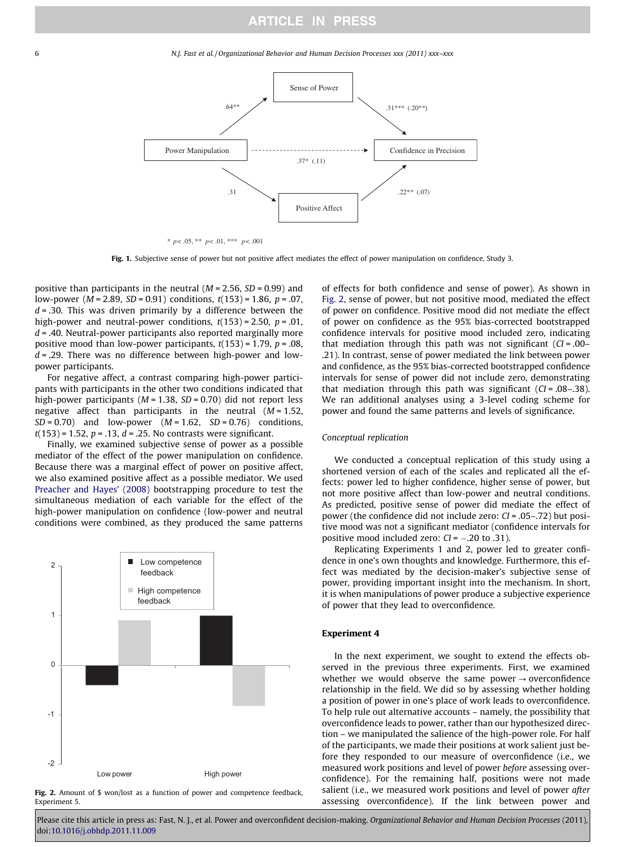<span id="page-5-0"></span>6 N.J. Fast et al. / Organizational Behavior and Human Decision Processes xxx (2011) xxx–xxx



\* *p*< .05, \*\* *p*< .01, \*\*\* *p*< .001

Fig. 1. Subjective sense of power but not positive affect mediates the effect of power manipulation on confidence, Study 3.

positive than participants in the neutral  $(M = 2.56, SD = 0.99)$  and low-power ( $M = 2.89$ ,  $SD = 0.91$ ) conditions,  $t(153) = 1.86$ ,  $p = .07$ ,  $d = 0.30$ . This was driven primarily by a difference between the high-power and neutral-power conditions,  $t(153) = 2.50$ ,  $p = .01$ ,  $d = 0.40$ . Neutral-power participants also reported marginally more positive mood than low-power participants,  $t(153) = 1.79$ ,  $p = .08$ ,  $d = 0.29$ . There was no difference between high-power and lowpower participants.

For negative affect, a contrast comparing high-power participants with participants in the other two conditions indicated that high-power participants ( $M = 1.38$ ,  $SD = 0.70$ ) did not report less negative affect than participants in the neutral  $(M = 1.52)$ ,  $SD = 0.70$ ) and low-power  $(M = 1.62, SD = 0.76)$  conditions,  $t(153) = 1.52$ ,  $p = .13$ ,  $d = .25$ . No contrasts were significant.

Finally, we examined subjective sense of power as a possible mediator of the effect of the power manipulation on confidence. Because there was a marginal effect of power on positive affect, we also examined positive affect as a possible mediator. We used [Preacher and Hayes' \(2008\)](#page-11-0) bootstrapping procedure to test the simultaneous mediation of each variable for the effect of the high-power manipulation on confidence (low-power and neutral conditions were combined, as they produced the same patterns





of effects for both confidence and sense of power). As shown in Fig. 2, sense of power, but not positive mood, mediated the effect of power on confidence. Positive mood did not mediate the effect of power on confidence as the 95% bias-corrected bootstrapped confidence intervals for positive mood included zero, indicating that mediation through this path was not significant  $(Cl = .00-$ .21). In contrast, sense of power mediated the link between power and confidence, as the 95% bias-corrected bootstrapped confidence intervals for sense of power did not include zero, demonstrating that mediation through this path was significant  $(CI = .08 - .38)$ . We ran additional analyses using a 3-level coding scheme for power and found the same patterns and levels of significance.

## Conceptual replication

We conducted a conceptual replication of this study using a shortened version of each of the scales and replicated all the effects: power led to higher confidence, higher sense of power, but not more positive affect than low-power and neutral conditions. As predicted, positive sense of power did mediate the effect of power (the confidence did not include zero: CI = .05–.72) but positive mood was not a significant mediator (confidence intervals for positive mood included zero:  $CI = -.20$  to .31).

Replicating Experiments 1 and 2, power led to greater confidence in one's own thoughts and knowledge. Furthermore, this effect was mediated by the decision-maker's subjective sense of power, providing important insight into the mechanism. In short, it is when manipulations of power produce a subjective experience of power that they lead to overconfidence.

## Experiment 4

In the next experiment, we sought to extend the effects observed in the previous three experiments. First, we examined whether we would observe the same power  $\rightarrow$  overconfidence relationship in the field. We did so by assessing whether holding a position of power in one's place of work leads to overconfidence. To help rule out alternative accounts – namely, the possibility that overconfidence leads to power, rather than our hypothesized direction – we manipulated the salience of the high-power role. For half of the participants, we made their positions at work salient just before they responded to our measure of overconfidence (i.e., we measured work positions and level of power before assessing overconfidence). For the remaining half, positions were not made salient (i.e., we measured work positions and level of power after assessing overconfidence). If the link between power and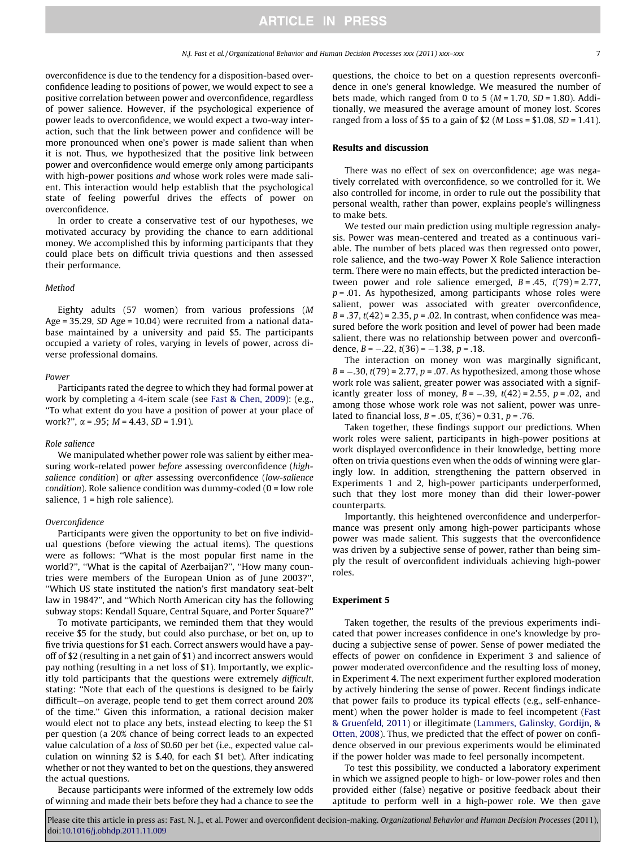overconfidence is due to the tendency for a disposition-based overconfidence leading to positions of power, we would expect to see a positive correlation between power and overconfidence, regardless of power salience. However, if the psychological experience of power leads to overconfidence, we would expect a two-way interaction, such that the link between power and confidence will be more pronounced when one's power is made salient than when it is not. Thus, we hypothesized that the positive link between power and overconfidence would emerge only among participants with high-power positions and whose work roles were made salient. This interaction would help establish that the psychological state of feeling powerful drives the effects of power on overconfidence.

In order to create a conservative test of our hypotheses, we motivated accuracy by providing the chance to earn additional money. We accomplished this by informing participants that they could place bets on difficult trivia questions and then assessed their performance.

# Method

Eighty adults (57 women) from various professions (M Age = 35.29, SD Age = 10.04) were recruited from a national database maintained by a university and paid \$5. The participants occupied a variety of roles, varying in levels of power, across diverse professional domains.

## Power

Participants rated the degree to which they had formal power at work by completing a 4-item scale (see [Fast & Chen, 2009](#page-10-0)): (e.g., ''To what extent do you have a position of power at your place of work?",  $\alpha$  = .95;  $M$  = 4.43, SD = 1.91).

## Role salience

We manipulated whether power role was salient by either measuring work-related power before assessing overconfidence (highsalience condition) or after assessing overconfidence (low-salience  $condition$ ). Role salience condition was dummy-coded ( $0 = low$  role salience, 1 = high role salience).

#### Overconfidence

Participants were given the opportunity to bet on five individual questions (before viewing the actual items). The questions were as follows: ''What is the most popular first name in the world?'', ''What is the capital of Azerbaijan?'', ''How many countries were members of the European Union as of June 2003?'', ''Which US state instituted the nation's first mandatory seat-belt law in 1984?'', and ''Which North American city has the following subway stops: Kendall Square, Central Square, and Porter Square?''

To motivate participants, we reminded them that they would receive \$5 for the study, but could also purchase, or bet on, up to five trivia questions for \$1 each. Correct answers would have a payoff of \$2 (resulting in a net gain of \$1) and incorrect answers would pay nothing (resulting in a net loss of \$1). Importantly, we explicitly told participants that the questions were extremely difficult, stating: ''Note that each of the questions is designed to be fairly difficult—on average, people tend to get them correct around 20% of the time.'' Given this information, a rational decision maker would elect not to place any bets, instead electing to keep the \$1 per question (a 20% chance of being correct leads to an expected value calculation of a loss of \$0.60 per bet (i.e., expected value calculation on winning \$2 is \$.40, for each \$1 bet). After indicating whether or not they wanted to bet on the questions, they answered the actual questions.

Because participants were informed of the extremely low odds of winning and made their bets before they had a chance to see the questions, the choice to bet on a question represents overconfidence in one's general knowledge. We measured the number of bets made, which ranged from 0 to 5  $(M = 1.70, SD = 1.80)$ . Additionally, we measured the average amount of money lost. Scores ranged from a loss of \$5 to a gain of \$2 ( $M$  Loss = \$1.08, SD = 1.41).

# Results and discussion

There was no effect of sex on overconfidence; age was negatively correlated with overconfidence, so we controlled for it. We also controlled for income, in order to rule out the possibility that personal wealth, rather than power, explains people's willingness to make bets.

We tested our main prediction using multiple regression analysis. Power was mean-centered and treated as a continuous variable. The number of bets placed was then regressed onto power, role salience, and the two-way Power X Role Salience interaction term. There were no main effects, but the predicted interaction between power and role salience emerged,  $B = .45$ ,  $t(79) = 2.77$ ,  $p = .01$ . As hypothesized, among participants whose roles were salient, power was associated with greater overconfidence,  $B = .37$ ,  $t(42) = 2.35$ ,  $p = .02$ . In contrast, when confidence was measured before the work position and level of power had been made salient, there was no relationship between power and overconfidence,  $B = -.22$ ,  $t(36) = -1.38$ ,  $p = .18$ .

The interaction on money won was marginally significant,  $B$  =  $-.30$ , t(79) = 2.77, p = .07. As hypothesized, among those whose work role was salient, greater power was associated with a significantly greater loss of money,  $B = -.39$ ,  $t(42) = 2.55$ ,  $p = .02$ , and among those whose work role was not salient, power was unrelated to financial loss,  $B = .05$ ,  $t(36) = 0.31$ ,  $p = .76$ .

Taken together, these findings support our predictions. When work roles were salient, participants in high-power positions at work displayed overconfidence in their knowledge, betting more often on trivia questions even when the odds of winning were glaringly low. In addition, strengthening the pattern observed in Experiments 1 and 2, high-power participants underperformed, such that they lost more money than did their lower-power counterparts.

Importantly, this heightened overconfidence and underperformance was present only among high-power participants whose power was made salient. This suggests that the overconfidence was driven by a subjective sense of power, rather than being simply the result of overconfident individuals achieving high-power roles.

## Experiment 5

Taken together, the results of the previous experiments indicated that power increases confidence in one's knowledge by producing a subjective sense of power. Sense of power mediated the effects of power on confidence in Experiment 3 and salience of power moderated overconfidence and the resulting loss of money, in Experiment 4. The next experiment further explored moderation by actively hindering the sense of power. Recent findings indicate that power fails to produce its typical effects (e.g., self-enhancement) when the power holder is made to feel incompetent [\(Fast](#page-10-0) [& Gruenfeld, 2011](#page-10-0)) or illegitimate ([Lammers, Galinsky, Gordijn, &](#page-10-0) [Otten, 2008\)](#page-10-0). Thus, we predicted that the effect of power on confidence observed in our previous experiments would be eliminated if the power holder was made to feel personally incompetent.

To test this possibility, we conducted a laboratory experiment in which we assigned people to high- or low-power roles and then provided either (false) negative or positive feedback about their aptitude to perform well in a high-power role. We then gave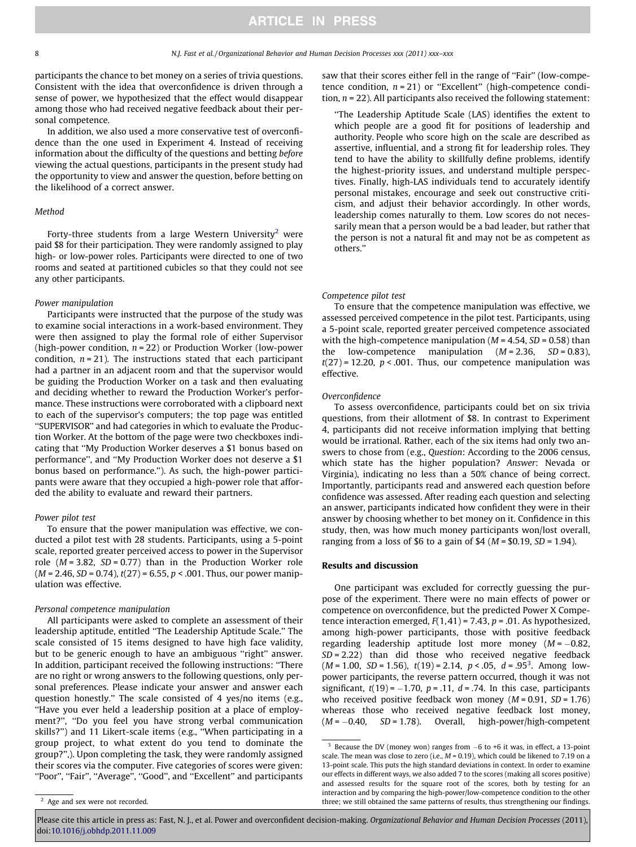participants the chance to bet money on a series of trivia questions. Consistent with the idea that overconfidence is driven through a sense of power, we hypothesized that the effect would disappear among those who had received negative feedback about their personal competence.

In addition, we also used a more conservative test of overconfidence than the one used in Experiment 4. Instead of receiving information about the difficulty of the questions and betting before viewing the actual questions, participants in the present study had the opportunity to view and answer the question, before betting on the likelihood of a correct answer.

## Method

Forty-three students from a large Western University<sup>2</sup> were paid \$8 for their participation. They were randomly assigned to play high- or low-power roles. Participants were directed to one of two rooms and seated at partitioned cubicles so that they could not see any other participants.

#### Power manipulation

Participants were instructed that the purpose of the study was to examine social interactions in a work-based environment. They were then assigned to play the formal role of either Supervisor (high-power condition,  $n = 22$ ) or Production Worker (low-power condition,  $n = 21$ ). The instructions stated that each participant had a partner in an adjacent room and that the supervisor would be guiding the Production Worker on a task and then evaluating and deciding whether to reward the Production Worker's performance. These instructions were corroborated with a clipboard next to each of the supervisor's computers; the top page was entitled ''SUPERVISOR'' and had categories in which to evaluate the Production Worker. At the bottom of the page were two checkboxes indicating that ''My Production Worker deserves a \$1 bonus based on performance'', and ''My Production Worker does not deserve a \$1 bonus based on performance.''). As such, the high-power participants were aware that they occupied a high-power role that afforded the ability to evaluate and reward their partners.

#### Power pilot test

To ensure that the power manipulation was effective, we conducted a pilot test with 28 students. Participants, using a 5-point scale, reported greater perceived access to power in the Supervisor role  $(M = 3.82, SD = 0.77)$  than in the Production Worker role  $(M = 2.46, SD = 0.74), t(27) = 6.55, p < .001$ . Thus, our power manipulation was effective.

#### Personal competence manipulation

All participants were asked to complete an assessment of their leadership aptitude, entitled ''The Leadership Aptitude Scale.'' The scale consisted of 15 items designed to have high face validity, but to be generic enough to have an ambiguous "right" answer. In addition, participant received the following instructions: ''There are no right or wrong answers to the following questions, only personal preferences. Please indicate your answer and answer each question honestly.'' The scale consisted of 4 yes/no items (e.g., ''Have you ever held a leadership position at a place of employment?'', ''Do you feel you have strong verbal communication skills?'') and 11 Likert-scale items (e.g., ''When participating in a group project, to what extent do you tend to dominate the group?'',). Upon completing the task, they were randomly assigned their scores via the computer. Five categories of scores were given: ''Poor'', ''Fair'', ''Average'', ''Good'', and ''Excellent'' and participants

saw that their scores either fell in the range of ''Fair'' (low-competence condition,  $n = 21$ ) or "Excellent" (high-competence condition,  $n = 22$ ). All participants also received the following statement:

''The Leadership Aptitude Scale (LAS) identifies the extent to which people are a good fit for positions of leadership and authority. People who score high on the scale are described as assertive, influential, and a strong fit for leadership roles. They tend to have the ability to skillfully define problems, identify the highest-priority issues, and understand multiple perspectives. Finally, high-LAS individuals tend to accurately identify personal mistakes, encourage and seek out constructive criticism, and adjust their behavior accordingly. In other words, leadership comes naturally to them. Low scores do not necessarily mean that a person would be a bad leader, but rather that the person is not a natural fit and may not be as competent as others.''

#### Competence pilot test

To ensure that the competence manipulation was effective, we assessed perceived competence in the pilot test. Participants, using a 5-point scale, reported greater perceived competence associated with the high-competence manipulation ( $M = 4.54$ ,  $SD = 0.58$ ) than the low-competence manipulation  $(M = 2.36, SD = 0.83)$ ,  $t(27)$  = 12.20,  $p < .001$ . Thus, our competence manipulation was effective.

#### Overconfidence

To assess overconfidence, participants could bet on six trivia questions, from their allotment of \$8. In contrast to Experiment 4, participants did not receive information implying that betting would be irrational. Rather, each of the six items had only two answers to chose from (e.g., Question: According to the 2006 census, which state has the higher population? Answer: Nevada or Virginia), indicating no less than a 50% chance of being correct. Importantly, participants read and answered each question before confidence was assessed. After reading each question and selecting an answer, participants indicated how confident they were in their answer by choosing whether to bet money on it. Confidence in this study, then, was how much money participants won/lost overall, ranging from a loss of \$6 to a gain of \$4 ( $M = 0.19$ ,  $SD = 1.94$ ).

# Results and discussion

One participant was excluded for correctly guessing the purpose of the experiment. There were no main effects of power or competence on overconfidence, but the predicted Power X Competence interaction emerged,  $F(1,41) = 7.43$ ,  $p = .01$ . As hypothesized, among high-power participants, those with positive feedback regarding leadership aptitude lost more money  $(M = -0.82,$  $SD = 2.22$ ) than did those who received negative feedback  $(M = 1.00, SD = 1.56), t(19) = 2.14, p < .05, d = .95<sup>3</sup>. Among low$ power participants, the reverse pattern occurred, though it was not significant,  $t(19) = -1.70$ ,  $p = .11$ ,  $d = .74$ . In this case, participants who received positive feedback won money  $(M = 0.91, SD = 1.76)$ whereas those who received negative feedback lost money, (M = -0.40, SD = 1.78). Overall, high-power/high-competent

 $3$  Because the DV (money won) ranges from  $-6$  to  $+6$  it was, in effect, a 13-point scale. The mean was close to zero (i.e.,  $M = 0.19$ ), which could be likened to 7.19 on a 13-point scale. This puts the high standard deviations in context. In order to examine our effects in different ways, we also added 7 to the scores (making all scores positive) and assessed results for the square root of the scores, both by testing for an interaction and by comparing the high-power/low-competence condition to the other three; we still obtained the same patterns of results, thus strengthening our findings.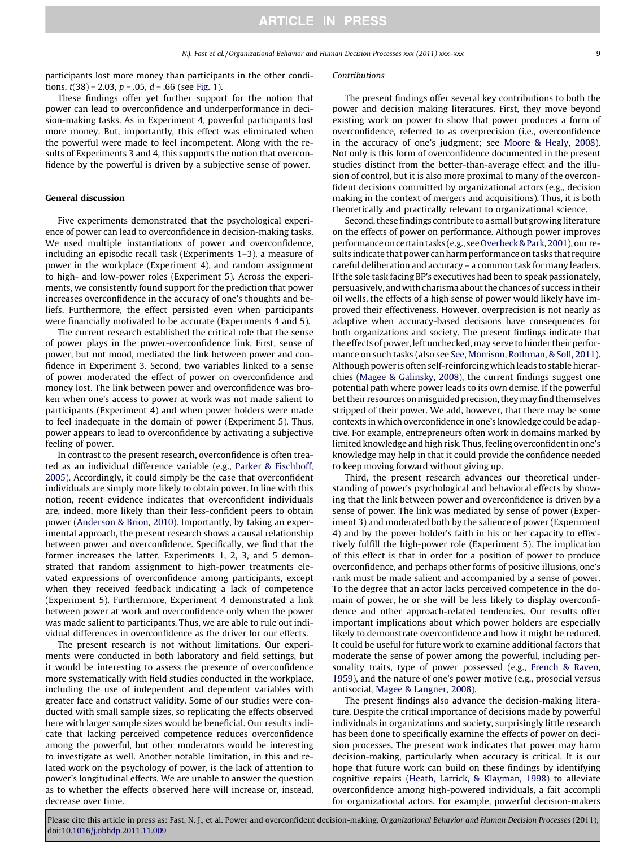participants lost more money than participants in the other conditions,  $t(38) = 2.03$ ,  $p = .05$ ,  $d = .66$  (see [Fig. 1](#page-5-0)).

These findings offer yet further support for the notion that power can lead to overconfidence and underperformance in decision-making tasks. As in Experiment 4, powerful participants lost more money. But, importantly, this effect was eliminated when the powerful were made to feel incompetent. Along with the results of Experiments 3 and 4, this supports the notion that overconfidence by the powerful is driven by a subjective sense of power.

# General discussion

Five experiments demonstrated that the psychological experience of power can lead to overconfidence in decision-making tasks. We used multiple instantiations of power and overconfidence, including an episodic recall task (Experiments 1–3), a measure of power in the workplace (Experiment 4), and random assignment to high- and low-power roles (Experiment 5). Across the experiments, we consistently found support for the prediction that power increases overconfidence in the accuracy of one's thoughts and beliefs. Furthermore, the effect persisted even when participants were financially motivated to be accurate (Experiments 4 and 5).

The current research established the critical role that the sense of power plays in the power-overconfidence link. First, sense of power, but not mood, mediated the link between power and confidence in Experiment 3. Second, two variables linked to a sense of power moderated the effect of power on overconfidence and money lost. The link between power and overconfidence was broken when one's access to power at work was not made salient to participants (Experiment 4) and when power holders were made to feel inadequate in the domain of power (Experiment 5). Thus, power appears to lead to overconfidence by activating a subjective feeling of power.

In contrast to the present research, overconfidence is often treated as an individual difference variable (e.g., [Parker & Fischhoff,](#page-11-0) [2005](#page-11-0)). Accordingly, it could simply be the case that overconfident individuals are simply more likely to obtain power. In line with this notion, recent evidence indicates that overconfident individuals are, indeed, more likely than their less-confident peers to obtain power [\(Anderson & Brion, 2010](#page-10-0)). Importantly, by taking an experimental approach, the present research shows a causal relationship between power and overconfidence. Specifically, we find that the former increases the latter. Experiments 1, 2, 3, and 5 demonstrated that random assignment to high-power treatments elevated expressions of overconfidence among participants, except when they received feedback indicating a lack of competence (Experiment 5). Furthermore, Experiment 4 demonstrated a link between power at work and overconfidence only when the power was made salient to participants. Thus, we are able to rule out individual differences in overconfidence as the driver for our effects.

The present research is not without limitations. Our experiments were conducted in both laboratory and field settings, but it would be interesting to assess the presence of overconfidence more systematically with field studies conducted in the workplace, including the use of independent and dependent variables with greater face and construct validity. Some of our studies were conducted with small sample sizes, so replicating the effects observed here with larger sample sizes would be beneficial. Our results indicate that lacking perceived competence reduces overconfidence among the powerful, but other moderators would be interesting to investigate as well. Another notable limitation, in this and related work on the psychology of power, is the lack of attention to power's longitudinal effects. We are unable to answer the question as to whether the effects observed here will increase or, instead, decrease over time.

#### Contributions

The present findings offer several key contributions to both the power and decision making literatures. First, they move beyond existing work on power to show that power produces a form of overconfidence, referred to as overprecision (i.e., overconfidence in the accuracy of one's judgment; see [Moore & Healy, 2008\)](#page-10-0). Not only is this form of overconfidence documented in the present studies distinct from the better-than-average effect and the illusion of control, but it is also more proximal to many of the overconfident decisions committed by organizational actors (e.g., decision making in the context of mergers and acquisitions). Thus, it is both theoretically and practically relevant to organizational science.

Second, these findings contribute to a small but growing literature on the effects of power on performance. Although power improves performance on certain tasks (e.g., see [Overbeck & Park, 2001\)](#page-11-0), our results indicate that power can harm performance on tasks that require careful deliberation and accuracy – a common task for many leaders. If the sole task facing BP's executives had been to speak passionately, persuasively, and with charisma about the chances of success in their oil wells, the effects of a high sense of power would likely have improved their effectiveness. However, overprecision is not nearly as adaptive when accuracy-based decisions have consequences for both organizations and society. The present findings indicate that the effects of power, left unchecked,may serve to hinder their performance on such tasks (also see [See, Morrison, Rothman, & Soll, 2011\)](#page-11-0). Although power is often self-reinforcing which leads to stable hierarchies ([Magee & Galinsky, 2008\)](#page-10-0), the current findings suggest one potential path where power leads to its own demise. If the powerful bet their resources on misguided precision, they may find themselves stripped of their power. We add, however, that there may be some contexts in which overconfidence in one's knowledge could be adaptive. For example, entrepreneurs often work in domains marked by limited knowledge and high risk. Thus, feeling overconfident in one's knowledge may help in that it could provide the confidence needed to keep moving forward without giving up.

Third, the present research advances our theoretical understanding of power's psychological and behavioral effects by showing that the link between power and overconfidence is driven by a sense of power. The link was mediated by sense of power (Experiment 3) and moderated both by the salience of power (Experiment 4) and by the power holder's faith in his or her capacity to effectively fulfill the high-power role (Experiment 5). The implication of this effect is that in order for a position of power to produce overconfidence, and perhaps other forms of positive illusions, one's rank must be made salient and accompanied by a sense of power. To the degree that an actor lacks perceived competence in the domain of power, he or she will be less likely to display overconfidence and other approach-related tendencies. Our results offer important implications about which power holders are especially likely to demonstrate overconfidence and how it might be reduced. It could be useful for future work to examine additional factors that moderate the sense of power among the powerful, including personality traits, type of power possessed (e.g., [French & Raven,](#page-10-0) [1959\)](#page-10-0), and the nature of one's power motive (e.g., prosocial versus antisocial, [Magee & Langner, 2008\)](#page-10-0).

The present findings also advance the decision-making literature. Despite the critical importance of decisions made by powerful individuals in organizations and society, surprisingly little research has been done to specifically examine the effects of power on decision processes. The present work indicates that power may harm decision-making, particularly when accuracy is critical. It is our hope that future work can build on these findings by identifying cognitive repairs [\(Heath, Larrick, & Klayman, 1998\)](#page-10-0) to alleviate overconfidence among high-powered individuals, a fait accompli for organizational actors. For example, powerful decision-makers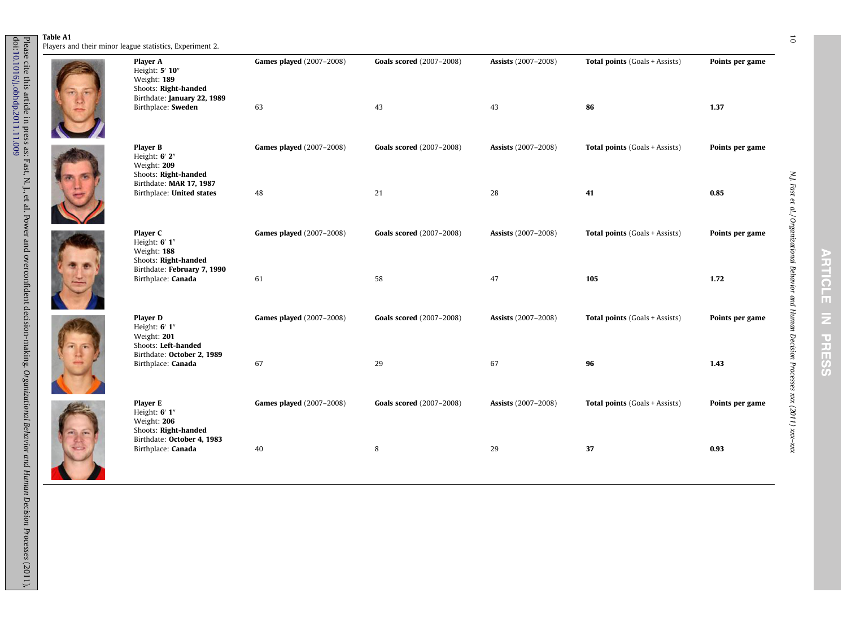Players and their minor league statistics, Experiment 2.

Table A1

Please cite this article in press as: Fast, N. J., et al. Power and overconfident decision-making.

doi:[10.1016/j.obhdp.2011.11.009](http://dx.doi.org/10.1016/j.obhdp.2011.11.009)

<span id="page-9-0"></span>Please cite this article in press as: Fast, N. J., et al. Power and overconfident decision-making. Organizational Behavior and Human Decision Processes (2011),<br>doi:10.1016/j.obhdp.2011.11.009

 $\tilde{a}$ 

Organizational Behavior and Human Decision Processes

|  | <b>Player A</b><br>Height: 5' 10"<br>Weight: 189<br>Shoots: Right-handed<br>Birthdate: January 22, 1989 | <b>Games played</b> (2007-2008) | <b>Goals scored</b> (2007-2008) | <b>Assists</b> (2007-2008) | <b>Total points</b> (Goals + Assists) | Points per game |
|--|---------------------------------------------------------------------------------------------------------|---------------------------------|---------------------------------|----------------------------|---------------------------------------|-----------------|
|  | Birthplace: Sweden                                                                                      | 63                              | 43                              | 43                         | 86                                    | 1.37            |
|  | <b>Player B</b><br>Height: $6'$ 2"<br>Weight: 209<br>Shoots: Right-handed<br>Birthdate: MAR 17, 1987    | <b>Games played</b> (2007-2008) | <b>Goals scored</b> (2007-2008) | <b>Assists</b> (2007-2008) | <b>Total points</b> (Goals + Assists) | Points per game |
|  | Birthplace: United states                                                                               | 48                              | 21                              | 28                         | 41                                    | 0.85            |
|  | Player C<br>Height: $6' 1''$<br>Weight: 188<br>Shoots: Right-handed                                     | <b>Games played</b> (2007-2008) | <b>Goals scored</b> (2007-2008) | <b>Assists</b> (2007-2008) | <b>Total points</b> (Goals + Assists) | Points per game |
|  | Birthdate: February 7, 1990<br>Birthplace: Canada                                                       | 61                              | 58                              | 47                         | 105                                   | 1.72            |
|  | <b>Player D</b><br>Height: $6'$ $1''$<br>Weight: 201<br>Shoots: Left-handed                             | <b>Games played</b> (2007-2008) | <b>Goals scored</b> (2007-2008) | <b>Assists</b> (2007-2008) | <b>Total points</b> (Goals + Assists) | Points per game |
|  | Birthdate: October 2, 1989<br>Birthplace: Canada                                                        | 67                              | 29                              | 67                         | 96                                    | 1.43            |
|  | <b>Player E</b><br>Height: $6' 1''$<br>Weight: 206<br>Shoots: Right-handed                              | <b>Games played</b> (2007-2008) | <b>Goals scored</b> (2007-2008) | <b>Assists</b> (2007-2008) | <b>Total points</b> (Goals + Assists) | Points per game |
|  | Birthdate: October 4, 1983<br>Birthplace: Canada                                                        | 40                              | 8                               | 29                         | 37                                    | 0.93            |

**ARTICLE** 

 $\bar{z}$ 

**PRESS**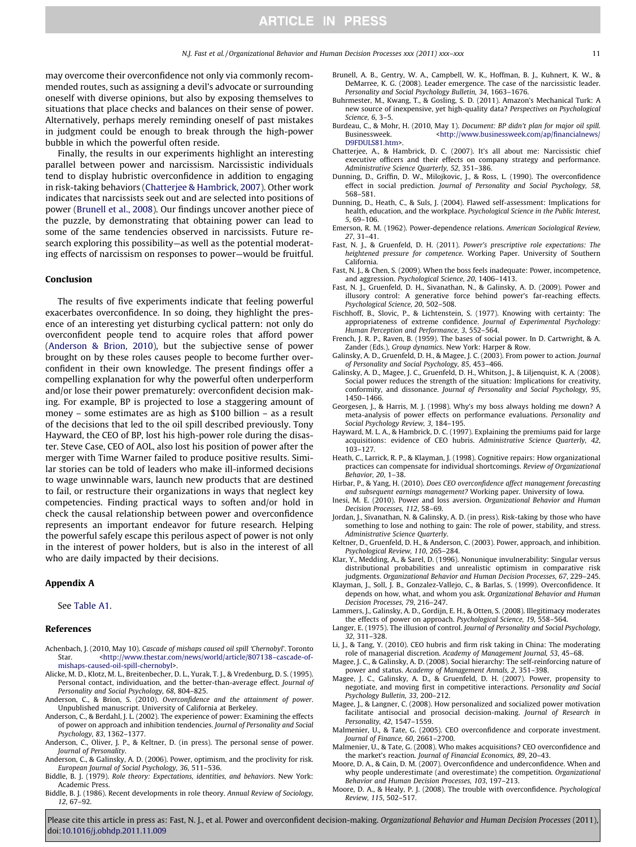<span id="page-10-0"></span>may overcome their overconfidence not only via commonly recommended routes, such as assigning a devil's advocate or surrounding oneself with diverse opinions, but also by exposing themselves to situations that place checks and balances on their sense of power. Alternatively, perhaps merely reminding oneself of past mistakes in judgment could be enough to break through the high-power bubble in which the powerful often reside.

Finally, the results in our experiments highlight an interesting parallel between power and narcissism. Narcissistic individuals tend to display hubristic overconfidence in addition to engaging in risk-taking behaviors (Chatterjee & Hambrick, 2007). Other work indicates that narcissists seek out and are selected into positions of power (Brunell et al., 2008). Our findings uncover another piece of the puzzle, by demonstrating that obtaining power can lead to some of the same tendencies observed in narcissists. Future research exploring this possibility—as well as the potential moderating effects of narcissism on responses to power—would be fruitful.

## Conclusion

The results of five experiments indicate that feeling powerful exacerbates overconfidence. In so doing, they highlight the presence of an interesting yet disturbing cyclical pattern: not only do overconfident people tend to acquire roles that afford power (Anderson & Brion, 2010), but the subjective sense of power brought on by these roles causes people to become further overconfident in their own knowledge. The present findings offer a compelling explanation for why the powerful often underperform and/or lose their power prematurely: overconfident decision making. For example, BP is projected to lose a staggering amount of money – some estimates are as high as \$100 billion – as a result of the decisions that led to the oil spill described previously. Tony Hayward, the CEO of BP, lost his high-power role during the disaster. Steve Case, CEO of AOL, also lost his position of power after the merger with Time Warner failed to produce positive results. Similar stories can be told of leaders who make ill-informed decisions to wage unwinnable wars, launch new products that are destined to fail, or restructure their organizations in ways that neglect key competencies. Finding practical ways to soften and/or hold in check the causal relationship between power and overconfidence represents an important endeavor for future research. Helping the powerful safely escape this perilous aspect of power is not only in the interest of power holders, but is also in the interest of all who are daily impacted by their decisions.

#### Appendix A

#### See [Table A1.](#page-9-0)

#### References

- Achenbach, J. (2010, May 10). Cascade of mishaps caused oil spill 'Chernobyl'. Toronto Star. <http://www.thestar.com/news/world/article/807138-cascade-of[mishaps-caused-oil-spill-chernobyl>](http://www.thestar.com/news/world/article/807138--cascade-of-mishaps-caused-oil-spill-chernobyl).
- Alicke, M. D., Klotz, M. L., Breitenbecher, D. L., Yurak, T. J., & Vredenburg, D. S. (1995). Personal contact, individuation, and the better-than-average effect. Journal of Personality and Social Psychology, 68, 804–825.
- Anderson, C., & Brion, S. (2010). Overconfidence and the attainment of power. Unpublished manuscript. University of California at Berkeley.
- Anderson, C., & Berdahl, J. L. (2002). The experience of power: Examining the effects of power on approach and inhibition tendencies. Journal of Personality and Social Psychology, 83, 1362–1377.
- Anderson, C., Oliver, J. P., & Keltner, D. (in press). The personal sense of power. Journal of Personality.
- Anderson, C., & Galinsky, A. D. (2006). Power, optimism, and the proclivity for risk. European Journal of Social Psychology, 36, 511–536.
- Biddle, B. J. (1979). Role theory: Expectations, identities, and behaviors. New York: Academic Press.
- Biddle, B. J. (1986). Recent developments in role theory. Annual Review of Sociology, 12, 67–92.
- Brunell, A. B., Gentry, W. A., Campbell, W. K., Hoffman, B. J., Kuhnert, K. W., & DeMarree, K. G. (2008). Leader emergence. The case of the narcissistic leader. Personality and Social Psychology Bulletin, 34, 1663–1676.
- Buhrmester, M., Kwang, T., & Gosling, S. D. (2011). Amazon's Mechanical Turk: A new source of inexpensive, yet high-quality data? Perspectives on Psychological Science, 6, 3–5.
- Burdeau, C., & Mohr, H. (2010, May 1). Document: BP didn't plan for major oil spill. Businessweek. <br/> [<http://www.businessweek.com/ap/financialnews/](http://www.businessweek.com/ap/financialnews/D9FDULS81.htm) [D9FDULS81.htm](http://www.businessweek.com/ap/financialnews/D9FDULS81.htm)>.
- Chatterjee, A., & Hambrick, D. C. (2007). It's all about me: Narcissistic chief executive officers and their effects on company strategy and performance. Administrative Science Quarterly, 52, 351–386.
- Dunning, D., Griffin, D. W., Milojkovic, J., & Ross, L. (1990). The overconfidence effect in social prediction. Journal of Personality and Social Psychology, 58, 568–581.
- Dunning, D., Heath, C., & Suls, J. (2004). Flawed self-assessment: Implications for health, education, and the workplace. Psychological Science in the Public Interest, 5, 69–106.
- Emerson, R. M. (1962). Power-dependence relations. American Sociological Review, 27, 31–41.
- Fast, N. J., & Gruenfeld, D. H. (2011). Power's prescriptive role expectations: The heightened pressure for competence. Working Paper. University of Southern California.
- Fast, N. J., & Chen, S. (2009). When the boss feels inadequate: Power, incompetence, and aggression. Psychological Science, 20, 1406–1413.
- Fast, N. J., Gruenfeld, D. H., Sivanathan, N., & Galinsky, A. D. (2009). Power and illusory control: A generative force behind power's far-reaching effects. Psychological Science, 20, 502–508.
- Fischhoff, B., Slovic, P., & Lichtenstein, S. (1977). Knowing with certainty: The appropriateness of extreme confidence. Journal of Experimental Psychology: Human Perception and Performance, 3, 552–564.
- French, J. R. P., Raven, B. (1959). The bases of social power. In D. Cartwright, & A. Zander (Eds.), Group dynamics. New York: Harper & Row.
- Galinsky, A. D., Gruenfeld, D. H., & Magee, J. C. (2003). From power to action. Journal of Personality and Social Psychology, 85, 453–466.
- Galinsky, A. D., Magee, J. C., Gruenfeld, D. H., Whitson, J., & Liljenquist, K. A. (2008). Social power reduces the strength of the situation: Implications for creativity, conformity, and dissonance. Journal of Personality and Social Psychology, 95, 1450–1466.
- Georgesen, J., & Harris, M. J. (1998). Why's my boss always holding me down? A meta-analysis of power effects on performance evaluations. Personality and Social Psychology Review, 3, 184–195.
- Hayward, M. L. A., & Hambrick, D. C. (1997). Explaining the premiums paid for large acquisitions: evidence of CEO hubris. Administrative Science Quarterly, 42, 103–127.
- Heath, C., Larrick, R. P., & Klayman, J. (1998). Cognitive repairs: How organizational practices can compensate for individual shortcomings. Review of Organizational Behavior, 20, 1–38.
- Hirbar, P., & Yang, H. (2010). Does CEO overconfidence affect management forecasting and subsequent earnings management? Working paper. University of Iowa.
- Inesi, M. E. (2010). Power and loss aversion. Organizational Behavior and Human Decision Processes, 112, 58–69.
- Jordan, J., Sivanathan, N. & Galinsky, A. D. (in press). Risk-taking by those who have something to lose and nothing to gain: The role of power, stability, and stress. Administrative Science Quarterly.
- Keltner, D., Gruenfeld, D. H., & Anderson, C. (2003). Power, approach, and inhibition. Psychological Review, 110, 265–284.
- Klar, Y., Medding, A., & Sarel, D. (1996). Nonunique invulnerability: Singular versus distributional probabilities and unrealistic optimism in comparative risk judgments. Organizational Behavior and Human Decision Processes, 67, 229–245.
- Klayman, J., Soll, J. B., Gonzalez-Vallejo, C., & Barlas, S. (1999). Overconfidence. It depends on how, what, and whom you ask. Organizational Behavior and Human Decision Processes, 79, 216–247.
- Lammers, J., Galinsky, A. D., Gordijn, E. H., & Otten, S. (2008). Illegitimacy moderates the effects of power on approach. Psychological Science, 19, 558–564.
- Langer, E. (1975). The illusion of control. Journal of Personality and Social Psychology, 32, 311–328.
- Li, J., & Tang, Y. (2010). CEO hubris and firm risk taking in China: The moderating role of managerial discretion. Academy of Management Journal, 53, 45–68.
- Magee, J. C., & Galinsky, A. D. (2008). Social hierarchy: The self-reinforcing nature of power and status. Academy of Management Annals, 2, 351–398.
- Magee, J. C., Galinsky, A. D., & Gruenfeld, D. H. (2007). Power, propensity to negotiate, and moving first in competitive interactions. Personality and Social Psychology Bulletin, 33, 200–212.
- Magee, J., & Langner, C. (2008). How personalized and socialized power motivation facilitate antisocial and prosocial decision-making. Journal of Research in Personality, 42, 1547–1559.
- Malmenier, U., & Tate, G. (2005). CEO overconfidence and corporate investment. Journal of Finance, 60, 2661–2700.
- Malmenier, U., & Tate, G. (2008). Who makes acquisitions? CEO overconfidence and the market's reaction. Journal of Financial Economics, 89, 20–43.
- Moore, D. A., & Cain, D. M. (2007). Overconfidence and underconfidence. When and why people underestimate (and overestimate) the competition. Organizational Behavior and Human Decision Processes, 103, 197–213.
- Moore, D. A., & Healy, P. J. (2008). The trouble with overconfidence. Psychological Review, 115, 502–517.